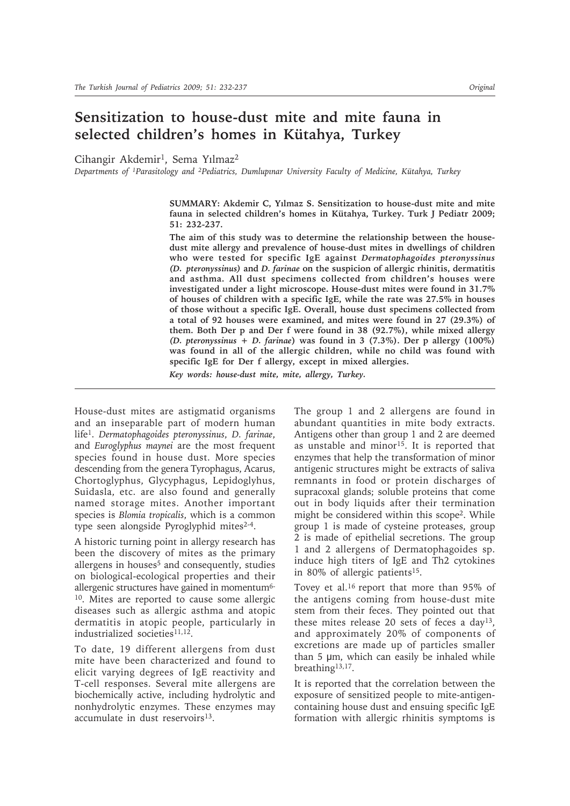# **Sensitization to house-dust mite and mite fauna in selected children's homes in Kütahya, Turkey**

Cihangir Akdemir<sup>1</sup>, Sema Yılmaz<sup>2</sup>

*Departments of 1Parasitology and 2Pediatrics, Dumlupınar University Faculty of Medicine, Kütahya, Turkey*

**SUMMARY: Akdemir C, Yılmaz S. Sensitization to house-dust mite and mite fauna in selected children's homes in Kütahya, Turkey. Turk J Pediatr 2009; 51: 232-237.**

**The aim of this study was to determine the relationship between the housedust mite allergy and prevalence of house-dust mites in dwellings of children who were tested for specific IgE against** *Dermatophagoides pteronyssinus (D. pteronyssinus)* **and** *D. farinae* **on the suspicion of allergic rhinitis, dermatitis and asthma. All dust specimens collected from children's houses were investigated under a light microscope. House-dust mites were found in 31.7% of houses of children with a specific IgE, while the rate was 27.5% in houses of those without a specific IgE. Overall, house dust specimens collected from a total of 92 houses were examined, and mites were found in 27 (29.3%) of them. Both Der p and Der f were found in 38 (92.7%), while mixed allergy**  *(D. pteronyssinus* **+** *D. farinae***) was found in 3 (7.3%). Der p allergy (100%) was found in all of the allergic children, while no child was found with specific IgE for Der f allergy, except in mixed allergies.**

*Key words: house-dust mite, mite, allergy, Turkey.*

House-dust mites are astigmatid organisms and an inseparable part of modern human life1. *Dermatophagoides pteronyssinus*, *D. farinae*, and *Euroglyphus maynei* are the most frequent species found in house dust. More species descending from the genera Tyrophagus, Acarus, Chortoglyphus, Glycyphagus, Lepidoglyhus, Suidasla, etc. are also found and generally named storage mites. Another important species is *Blomia tropicalis*, which is a common type seen alongside Pyroglyphid mites<sup>2-4</sup>.

A historic turning point in allergy research has been the discovery of mites as the primary allergens in houses<sup>5</sup> and consequently, studies on biological-ecological properties and their allergenic structures have gained in momentum6- 10. Mites are reported to cause some allergic diseases such as allergic asthma and atopic dermatitis in atopic people, particularly in industrialized societies<sup>11,12</sup>.

To date, 19 different allergens from dust mite have been characterized and found to elicit varying degrees of IgE reactivity and T-cell responses. Several mite allergens are biochemically active, including hydrolytic and nonhydrolytic enzymes. These enzymes may accumulate in dust reservoirs<sup>13</sup>.

The group 1 and 2 allergens are found in abundant quantities in mite body extracts. Antigens other than group 1 and 2 are deemed as unstable and minor<sup>15</sup>. It is reported that enzymes that help the transformation of minor antigenic structures might be extracts of saliva remnants in food or protein discharges of supracoxal glands; soluble proteins that come out in body liquids after their termination might be considered within this scope2. While group 1 is made of cysteine proteases, group 2 is made of epithelial secretions. The group 1 and 2 allergens of Dermatophagoides sp. induce high titers of IgE and Th2 cytokines in 80% of allergic patients<sup>15</sup>.

Tovey et al.16 report that more than 95% of the antigens coming from house-dust mite stem from their feces. They pointed out that these mites release 20 sets of feces a day13, and approximately 20% of components of excretions are made up of particles smaller than 5 μm, which can easily be inhaled while breathing13,17.

It is reported that the correlation between the exposure of sensitized people to mite-antigencontaining house dust and ensuing specific IgE formation with allergic rhinitis symptoms is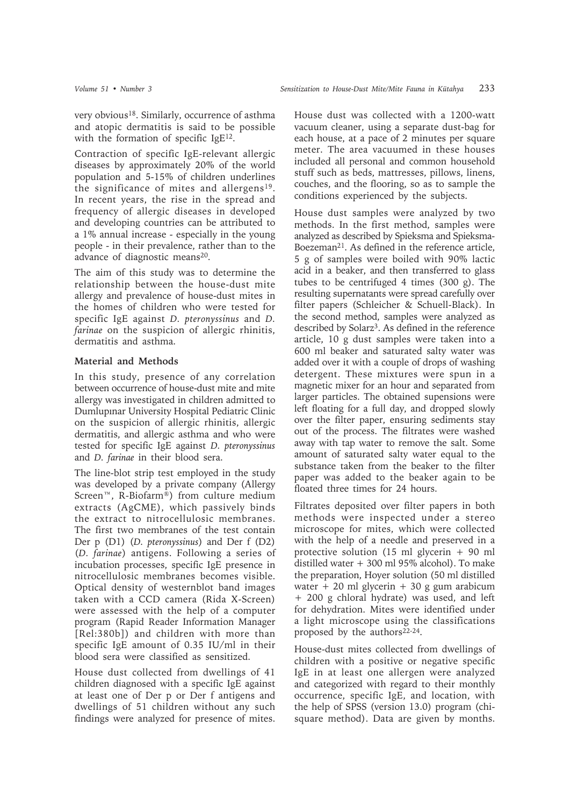very obvious18. Similarly, occurrence of asthma and atopic dermatitis is said to be possible with the formation of specific IgE<sup>12</sup>.

Contraction of specific IgE-relevant allergic diseases by approximately 20% of the world population and 5-15% of children underlines the significance of mites and allergens<sup>19</sup>. In recent years, the rise in the spread and frequency of allergic diseases in developed and developing countries can be attributed to a 1% annual increase - especially in the young people - in their prevalence, rather than to the advance of diagnostic means<sup>20</sup>.

The aim of this study was to determine the relationship between the house-dust mite allergy and prevalence of house-dust mites in the homes of children who were tested for specific IgE against *D. pteronyssinus* and *D. farinae* on the suspicion of allergic rhinitis, dermatitis and asthma.

## **Material and Methods**

In this study, presence of any correlation between occurrence of house-dust mite and mite allergy was investigated in children admitted to Dumlupınar University Hospital Pediatric Clinic on the suspicion of allergic rhinitis, allergic dermatitis, and allergic asthma and who were tested for specific IgE against *D. pteronyssinus* and *D. farinae* in their blood sera.

The line-blot strip test employed in the study was developed by a private company (Allergy Screen™, R-Biofarm®) from culture medium extracts (AgCME), which passively binds the extract to nitrocellulosic membranes. The first two membranes of the test contain Der p (D1) (*D. pteronyssinus*) and Der f (D2) (*D. farinae*) antigens. Following a series of incubation processes, specific IgE presence in nitrocellulosic membranes becomes visible. Optical density of westernblot band images taken with a CCD camera (Rida X-Screen) were assessed with the help of a computer program (Rapid Reader Information Manager [Rel:380b]) and children with more than specific IgE amount of 0.35 IU/ml in their blood sera were classified as sensitized.

House dust collected from dwellings of 41 children diagnosed with a specific IgE against at least one of Der p or Der f antigens and dwellings of 51 children without any such findings were analyzed for presence of mites.

House dust was collected with a 1200-watt vacuum cleaner, using a separate dust-bag for each house, at a pace of 2 minutes per square meter. The area vacuumed in these houses included all personal and common household stuff such as beds, mattresses, pillows, linens, couches, and the flooring, so as to sample the conditions experienced by the subjects.

House dust samples were analyzed by two methods. In the first method, samples were analyzed as described by Spieksma and Spieksma-Boezeman21. As defined in the reference article, 5 g of samples were boiled with 90% lactic acid in a beaker, and then transferred to glass tubes to be centrifuged 4 times (300 g). The resulting supernatants were spread carefully over filter papers (Schleicher & Schuell-Black). In the second method, samples were analyzed as described by Solarz<sup>3</sup>. As defined in the reference article, 10 g dust samples were taken into a 600 ml beaker and saturated salty water was added over it with a couple of drops of washing detergent. These mixtures were spun in a magnetic mixer for an hour and separated from larger particles. The obtained supensions were left floating for a full day, and dropped slowly over the filter paper, ensuring sediments stay out of the process. The filtrates were washed away with tap water to remove the salt. Some amount of saturated salty water equal to the substance taken from the beaker to the filter paper was added to the beaker again to be floated three times for 24 hours.

Filtrates deposited over filter papers in both methods were inspected under a stereo microscope for mites, which were collected with the help of a needle and preserved in a protective solution (15 ml glycerin + 90 ml distilled water + 300 ml 95% alcohol). To make the preparation, Hoyer solution (50 ml distilled water  $+ 20$  ml glycerin  $+ 30$  g gum arabicum + 200 g chloral hydrate) was used, and left for dehydration. Mites were identified under a light microscope using the classifications proposed by the authors<sup>22-24</sup>.

House-dust mites collected from dwellings of children with a positive or negative specific IgE in at least one allergen were analyzed and categorized with regard to their monthly occurrence, specific IgE, and location, with the help of SPSS (version 13.0) program (chisquare method). Data are given by months.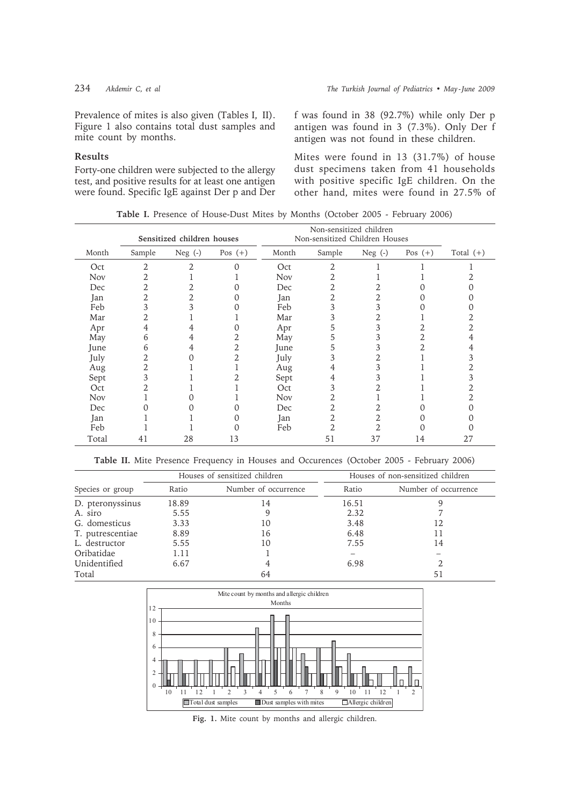### **Results**

Forty-one children were subjected to the allergy test, and positive results for at least one antigen were found. Specific IgE against Der p and Der f was found in 38 (92.7%) while only Der p antigen was found in 3 (7.3%). Only Der f antigen was not found in these children.

Mites were found in 13 (31.7%) of house dust specimens taken from 41 households with positive specific IgE children. On the other hand, mites were found in 27.5% of

**Table I.** Presence of House-Dust Mites by Months (October 2005 - February 2006)

|            |        | Sensitized children houses |           | Non-sensitized children<br>Non-sensitized Children Houses |                |           |           |             |
|------------|--------|----------------------------|-----------|-----------------------------------------------------------|----------------|-----------|-----------|-------------|
| Month      | Sample | Neg $(-)$                  | Pos $(+)$ | Month                                                     | Sample         | Neg $(-)$ | Pos $(+)$ | Total $(+)$ |
| Oct        | 2      | 2                          | $\Omega$  | Oct                                                       | 2              |           |           |             |
| <b>Nov</b> | 2      |                            |           | <b>Nov</b>                                                | 2              |           |           |             |
| Dec        | 2      | 2                          |           | Dec                                                       | $\overline{2}$ | 2         |           |             |
| Jan        | 2      | 2                          |           | Jan                                                       | 2              | 2         |           |             |
| Feb        | 3      | 3                          |           | Feb                                                       | 3              | 3         |           |             |
| Mar        | 2      |                            |           | Mar                                                       | 3              | 2         |           |             |
| Apr        | 4      | 4                          |           | Apr                                                       | 5              | 3         |           |             |
| May        | 6      | 4                          | 2         | May                                                       | 5              | 3         | 2         | 4           |
| June       | 6      | 4                          | 2         | June                                                      | 5              | 3         | 2         | 4           |
| July       | 2      | 0                          | 2         | July                                                      | 3              | 2         |           |             |
| Aug        | 2      |                            |           | Aug                                                       | 4              | 3         |           |             |
| Sept       | 3      |                            | 2         | Sept                                                      | 4              | 3         |           | 3           |
| Oct        | 2      |                            |           | Oct                                                       | 3              | 2         |           |             |
| <b>Nov</b> |        |                            |           | <b>Nov</b>                                                | 2              |           |           |             |
| Dec        | ი      |                            | 0         | Dec                                                       | 2              | 2         |           |             |
| Jan        |        |                            | 0         | Jan                                                       | $\overline{2}$ | 2         | 0         |             |
| Feb        |        |                            |           | Feb                                                       | $\overline{2}$ | 2         |           |             |
| Total      | 41     | 28                         | 13        |                                                           | 51             | 37        | 14        | 27          |

**Table II.** Mite Presence Frequency in Houses and Occurences (October 2005 - February 2006)

|                  |       | Houses of sensitized children | Houses of non-sensitized children |                      |  |
|------------------|-------|-------------------------------|-----------------------------------|----------------------|--|
| Species or group | Ratio | Number of occurrence          | Ratio                             | Number of occurrence |  |
| D. pteronyssinus | 18.89 | 14                            | 16.51                             |                      |  |
| A. siro          | 5.55  | 9                             | 2.32                              |                      |  |
| G. domesticus    | 3.33  | 10                            | 3.48                              | 12                   |  |
| T. putrescentiae | 8.89  | 16                            | 6.48                              |                      |  |
| L. destructor    | 5.55  | 10                            | 7.55                              | 14                   |  |
| Oribatidae       | 1.11  |                               |                                   |                      |  |
| Unidentified     | 6.67  | 4                             | 6.98                              |                      |  |
| Total            |       | 64                            |                                   | 51                   |  |



**Fig. 1.** Mite count by months and allergic children.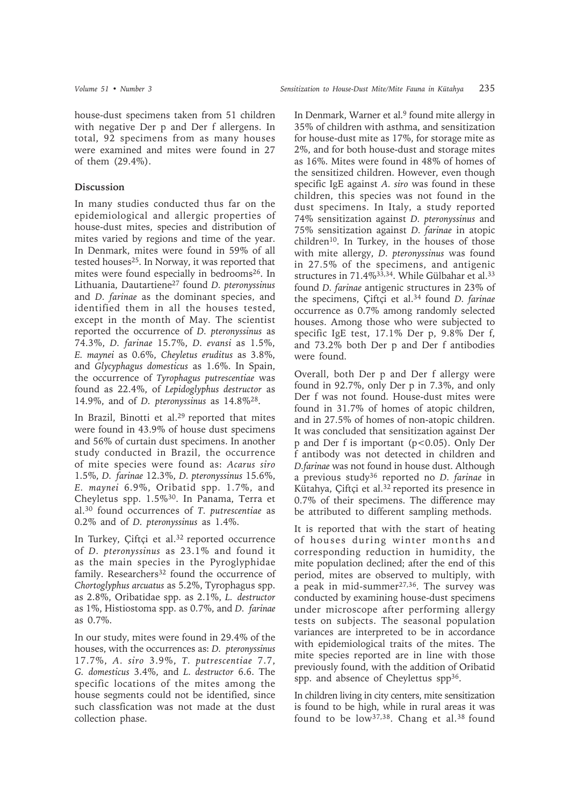house-dust specimens taken from 51 children with negative Der p and Der f allergens. In total, 92 specimens from as many houses were examined and mites were found in 27 of them (29.4%).

#### **Discussion**

In many studies conducted thus far on the epidemiological and allergic properties of house-dust mites, species and distribution of mites varied by regions and time of the year. In Denmark, mites were found in 59% of all tested houses<sup>25</sup>. In Norway, it was reported that mites were found especially in bedrooms26. In Lithuania, Dautartiene27 found *D. pteronyssinus* and *D. farinae* as the dominant species, and identified them in all the houses tested, except in the month of May. The scientist reported the occurrence of *D. pteronyssinus* as 74.3%, *D. farinae* 15.7%, *D. evansi* as 1.5%, *E. maynei* as 0.6%, *Cheyletus eruditus* as 3.8%, and *Glycyphagus domesticus* as 1.6%. In Spain, the occurrence of *Tyrophagus putrescentiae* was found as 22.4%, of *Lepidoglyphus destructor* as 14.9%, and of *D. pteronyssinus* as 14.8%28.

In Brazil, Binotti et al.<sup>29</sup> reported that mites were found in 43.9% of house dust specimens and 56% of curtain dust specimens. In another study conducted in Brazil, the occurrence of mite species were found as: *Acarus siro* 1.5%, *D. farinae* 12.3%, *D. pteronyssinus* 15.6%, *E. maynei* 6.9%, Oribatid spp. 1.7%, and Cheyletus spp. 1.5%30. In Panama, Terra et al.30 found occurrences of *T. putrescentiae* as 0.2% and of *D. pteronyssinus* as 1.4%.

In Turkey, Çiftçi et al.<sup>32</sup> reported occurrence of *D. pteronyssinus* as 23.1% and found it as the main species in the Pyroglyphidae family. Researchers<sup>32</sup> found the occurrence of *Chortoglyphus arcuatus* as 5.2%, Tyrophagus spp. as 2.8%, Oribatidae spp. as 2.1%, *L. destructor* as 1%, Histiostoma spp. as 0.7%, and *D. farinae* as 0.7%.

In our study, mites were found in 29.4% of the houses, with the occurrences as: *D. pteronyssinus* 17.7%, *A. siro* 3.9%, *T. putrescentiae* 7.7, *G. domesticus* 3.4%, and *L. destructor* 6.6. The specific locations of the mites among the house segments could not be identified, since such classfication was not made at the dust collection phase.

In Denmark, Warner et al.<sup>9</sup> found mite allergy in 35% of children with asthma, and sensitization for house-dust mite as 17%, for storage mite as 2%, and for both house-dust and storage mites as 16%. Mites were found in 48% of homes of the sensitized children. However, even though specific IgE against *A. siro* was found in these children, this species was not found in the dust specimens. In Italy, a study reported 74% sensitization against *D. pteronyssinus* and 75% sensitization against *D. farinae* in atopic  $children<sup>10</sup>$ . In Turkey, in the houses of those with mite allergy, *D. pteronyssinus* was found in 27.5% of the specimens, and antigenic structures in 71.4%<sup>33,34</sup>. While Gülbahar et al.<sup>33</sup> found *D. farinae* antigenic structures in 23% of the specimens, Çiftçi et al.34 found *D. farinae* occurrence as 0.7% among randomly selected houses. Among those who were subjected to specific IgE test, 17.1% Der p, 9.8% Der f, and 73.2% both Der p and Der f antibodies were found.

Overall, both Der p and Der f allergy were found in 92.7%, only Der p in 7.3%, and only Der f was not found. House-dust mites were found in 31.7% of homes of atopic children, and in 27.5% of homes of non-atopic children. It was concluded that sensitization against Der p and Der f is important (p<0.05). Only Der f antibody was not detected in children and *D.farinae* was not found in house dust. Although a previous study36 reported no *D. farinae* in Kütahya, Çiftçi et al.32 reported its presence in 0.7% of their specimens. The difference may be attributed to different sampling methods.

It is reported that with the start of heating of houses during winter months and corresponding reduction in humidity, the mite population declined; after the end of this period, mites are observed to multiply, with a peak in mid-summer $27,36$ . The survey was conducted by examining house-dust specimens under microscope after performing allergy tests on subjects. The seasonal population variances are interpreted to be in accordance with epidemiological traits of the mites. The mite species reported are in line with those previously found, with the addition of Oribatid spp. and absence of Cheylettus spp<sup>36</sup>.

In children living in city centers, mite sensitization is found to be high, while in rural areas it was found to be  $low^{37,38}$ . Chang et al.<sup>38</sup> found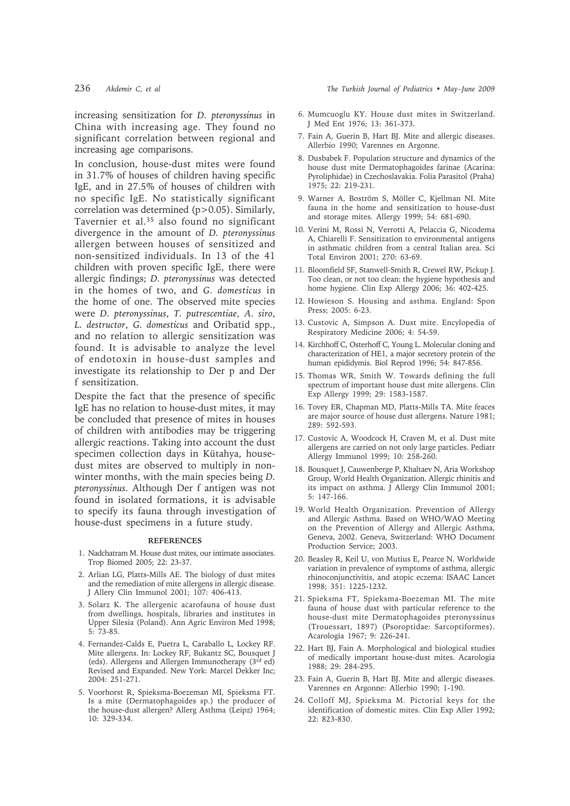increasing sensitization for *D. pteronyssinus* in China with increasing age. They found no significant correlation between regional and increasing age comparisons.

In conclusion, house-dust mites were found in 31.7% of houses of children having specific IgE, and in 27.5% of houses of children with no specific IgE. No statistically significant correlation was determined (p>0.05). Similarly, Tavernier et al.35 also found no significant divergence in the amount of *D. pteronyssinus* allergen between houses of sensitized and non-sensitized individuals. In 13 of the 41 children with proven specific IgE, there were allergic findings; *D. pteronyssinus* was detected in the homes of two, and *G. domesticus* in the home of one. The observed mite species were *D. pteronyssinus*, *T. putrescentiae*, *A. siro*, *L. destructor*, *G. domesticus* and Oribatid spp., and no relation to allergic sensitization was found. It is advisable to analyze the level of endotoxin in house-dust samples and investigate its relationship to Der p and Der f sensitization.

Despite the fact that the presence of specific IgE has no relation to house-dust mites, it may be concluded that presence of mites in houses of children with antibodies may be triggering allergic reactions. Taking into account the dust specimen collection days in Kütahya, housedust mites are observed to multiply in nonwinter months, with the main species being *D. pteronyssinus*. Although Der f antigen was not found in isolated formations, it is advisable to specify its fauna through investigation of house-dust specimens in a future study.

#### **REFERENCES**

- 1. Nadchatram M. House dust mites, our intimate associates. Trop Biomed 2005; 22: 23-37.
- 2. Arlian LG, Platts-Mills AE. The biology of dust mites and the remediation of mite allergens in allergic disease. J Allery Clin Immunol 2001; 107: 406-413.
- 3. Solarz K. The allergenic acarofauna of house dust from dwellings, hospitals, libraries and institutes in Upper Silesia (Poland). Ann Agric Environ Med 1998; 5: 73-85.
- 4. Fernandez-Calds E, Puetra L, Caraballo L, Lockey RF. Mite allergens. In: Lockey RF, Bukantz SC, Bousquet J (eds). Allergens and Allergen Immunotherapy (3rd ed) Revised and Expanded. New York: Marcel Dekker Inc; 2004: 251-271.
- 5. Voorhorst R, Spieksma-Boezeman MI, Spieksma FT. Is a mite (Dermatophagoides sp.) the producer of the house-dust allergen? Allerg Asthma (Leipz) 1964; 10: 329-334.
- 6. Mumcuoglu KY. House dust mites in Switzerland. J Med Ent 1976; 13: 361-373.
- 7. Fain A, Guerin B, Hart BJ. Mite and allergic diseases. Allerbio 1990; Varennes en Argonne.
- 8. Dusbabek F. Population structure and dynamics of the house dust mite Dermatophagoides farinae (Acarina: Pyroliphidae) in Czechoslavakia. Folia Parasitol (Praha) 1975; 22: 219-231.
- 9. Warner A, Boström S, Möller C, Kjellman NI. Mite fauna in the home and sensitization to house-dust and storage mites. Allergy 1999; 54: 681-690.
- 10. Verini M, Rossi N, Verrotti A, Pelaccia G, Nicodema A, Chiarelli F. Sensitization to environmental antigens in asthmatic children from a central Italian area. Sci Total Environ 2001; 270: 63-69.
- 11. Bloomfield SF, Stanwell-Smith R, Crewel RW, Pickup J. Too clean, or not too clean: the hygiene hypothesis and home hygiene. Clin Exp Allergy 2006; 36: 402-425.
- 12. Howieson S. Housing and asthma. England: Spon Press; 2005: 6-23.
- 13. Custovic A, Simpson A. Dust mite. Encylopedia of Respiratory Medicine 2006; 4: 54-59.
- 14. Kirchhoff C, Osterhoff C, Young L. Molecular cloning and characterization of HE1, a major secretory protein of the human epididymis. Biol Reprod 1996; 54: 847-856.
- 15. Thomas WR, Smith W. Towards defining the full spectrum of important house dust mite allergens. Clin Exp Allergy 1999; 29: 1583-1587.
- 16. Tovey ER, Chapman MD, Platts-Mills TA. Mite feaces are major source of house dust allergens. Nature 1981; 289: 592-593.
- 17. Custovic A, Woodcock H, Craven M, et al. Dust mite allergens are carried on not only large particles. Pediatr Allergy Immunol 1999; 10: 258-260.
- 18. Bousquet J, Cauwenberge P, Khaltaev N, Aria Workshop Group, World Health Organization. Allergic rhinitis and its impact on asthma. J Allergy Clin Immunol 2001; 5: 147-166.
- 19. World Health Organization. Prevention of Allergy and Allergic Asthma. Based on WHO/WAO Meeting on the Prevention of Allergy and Allergic Asthma, Geneva, 2002. Geneva, Switzerland: WHO Document Production Service; 2003.
- 20. Beasley R, Keil U, von Mutius E, Pearce N. Worldwide variation in prevalence of symptoms of asthma, allergic rhinoconjunctivitis, and atopic eczema: ISAAC Lancet 1998; 351: 1225-1232.
- 21. Spieksma FT, Spieksma-Boezeman MI. The mite fauna of house dust with particular reference to the house-dust mite Dermatophagoides pteronyssinus (Trouessart, 1897) (Psoroptidae: Sarcoptiformes). Acarologia 1967; 9: 226-241.
- 22. Hart BJ, Fain A. Morphological and biological studies of medically important house-dust mites. Acarologia 1988; 29: 284-295.
- 23. Fain A, Guerin B, Hart BJ. Mite and allergic diseases. Varennes en Argonne: Allerbio 1990; 1-190.
- 24. Colloff MJ, Spieksma M. Pictorial keys for the identification of domestic mites. Clin Exp Aller 1992; 22: 823-830.